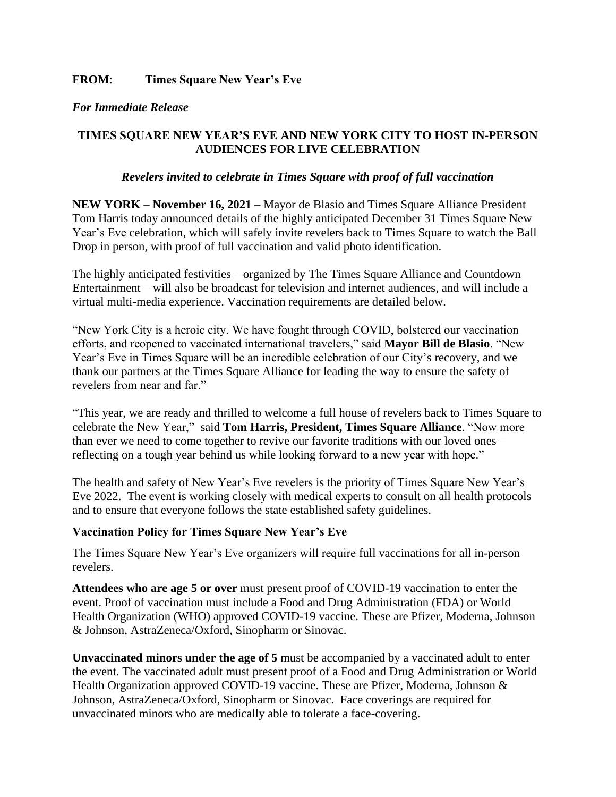### *For Immediate Release*

# **TIMES SQUARE NEW YEAR'S EVE AND NEW YORK CITY TO HOST IN-PERSON AUDIENCES FOR LIVE CELEBRATION**

### *Revelers invited to celebrate in Times Square with proof of full vaccination*

**NEW YORK** – **November 16, 2021** – Mayor de Blasio and Times Square Alliance President Tom Harris today announced details of the highly anticipated December 31 Times Square New Year's Eve celebration, which will safely invite revelers back to Times Square to watch the Ball Drop in person, with proof of full vaccination and valid photo identification.

The highly anticipated festivities – organized by The Times Square Alliance and Countdown Entertainment – will also be broadcast for television and internet audiences, and will include a virtual multi-media experience. Vaccination requirements are detailed below.

"New York City is a heroic city. We have fought through COVID, bolstered our vaccination efforts, and reopened to vaccinated international travelers," said **Mayor Bill de Blasio**. "New Year's Eve in Times Square will be an incredible celebration of our City's recovery, and we thank our partners at the Times Square Alliance for leading the way to ensure the safety of revelers from near and far."

"This year, we are ready and thrilled to welcome a full house of revelers back to Times Square to celebrate the New Year," said **Tom Harris, President, Times Square Alliance**. "Now more than ever we need to come together to revive our favorite traditions with our loved ones – reflecting on a tough year behind us while looking forward to a new year with hope."

The health and safety of New Year's Eve revelers is the priority of Times Square New Year's Eve 2022. The event is working closely with medical experts to consult on all health protocols and to ensure that everyone follows the state established safety guidelines.

#### **Vaccination Policy for Times Square New Year's Eve**

The Times Square New Year's Eve organizers will require full vaccinations for all in-person revelers.

**Attendees who are age 5 or over** must present proof of COVID-19 vaccination to enter the event. Proof of vaccination must include a Food and Drug Administration (FDA) or World Health Organization (WHO) approved COVID-19 vaccine. These are Pfizer, Moderna, Johnson & Johnson, AstraZeneca/Oxford, Sinopharm or Sinovac.

**Unvaccinated minors under the age of 5** must be accompanied by a vaccinated adult to enter the event. The vaccinated adult must present proof of a Food and Drug Administration or World Health Organization approved COVID-19 vaccine. These are Pfizer, Moderna, Johnson & Johnson, AstraZeneca/Oxford, Sinopharm or Sinovac. Face coverings are required for unvaccinated minors who are medically able to tolerate a face-covering.